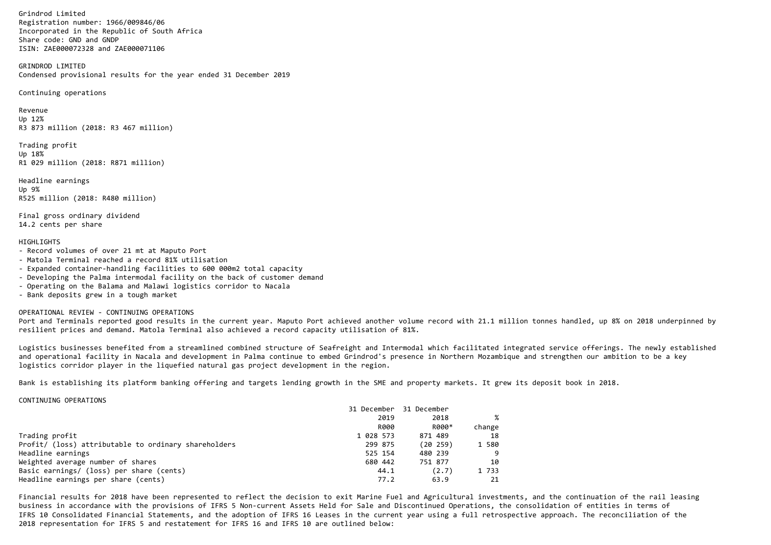Grindrod Limited Registration number: 1966/009846/06 Incorporated in the Republic of South AfricaShare code: GND and GNDPISIN: ZAE000072328 and ZAE000071106

GRINDROD LIMITEDCondensed provisional results for the year ended 31 December 2019

Continuing operations

Revenue Up 12% R3 873 million (2018: R3 467 million)

Trading profit Up 18% R1 029 million (2018: R871 million)

Headline earningsUp 9% R525 million (2018: R480 million)

Final gross ordinary dividend14.2 cents per share

# HTGHI TGHTS

- Record volumes of over 21 mt at Maputo Port
- Matola Terminal reached a record 81% utilisation
- Expanded container-handling facilities to 600 000m2 total capacity
- Developing the Palma intermodal facility on the back of customer demand
- Operating on the Balama and Malawi logistics corridor to Nacala
- Bank deposits grew in a tough market

OPERATIONAL REVIEW - CONTINUING OPERATIONS

 Port and Terminals reported good results in the current year. Maputo Port achieved another volume record with 21.1 million tonnes handled, up 8% on 2018 underpinned byresilient prices and demand. Matola Terminal also achieved a record capacity utilisation of 81%.

Logistics businesses benefited from a streamlined combined structure of Seafreight and Intermodal which facilitated integrated service offerings. The newly establishedand operational facility in Nacala and development in Palma continue to embed Grindrod's presence in Northern Mozambique and strengthen our ambition to be a keylogistics corridor player in the liquefied natural gas project development in the region.

Bank is establishing its platform banking offering and targets lending growth in the SME and property markets. It grew its deposit book in 2018.

CONTINUING OPERATIONS

|                                                      | 31 December | 31 December |        |
|------------------------------------------------------|-------------|-------------|--------|
|                                                      | 2019        | 2018        |        |
|                                                      | <b>R000</b> | R000*       | change |
| Trading profit                                       | 1 028 573   | 871 489     | 18     |
| Profit/ (loss) attributable to ordinary shareholders | 299 875     | (20, 259)   | 1 580  |
| Headline earnings                                    | 525 154     | 480 239     |        |
| Weighted average number of shares                    | 680 442     | 751 877     | 10     |
| Basic earnings/ (loss) per share (cents)             | 44.1        | (2.7)       | 1 733  |
| Headline earnings per share (cents)                  | 77.2        | 63.9        | 21     |

Financial results for 2018 have been represented to reflect the decision to exit Marine Fuel and Agricultural investments, and the continuation of the rail leasingbusiness in accordance with the provisions of IFRS 5 Non-current Assets Held for Sale and Discontinued Operations, the consolidation of entities in terms of IFRS 10 Consolidated Financial Statements, and the adoption of IFRS 16 Leases in the current year using a full retrospective approach. The reconciliation of the 2018 representation for IFRS 5 and restatement for IFRS 16 and IFRS 10 are outlined below: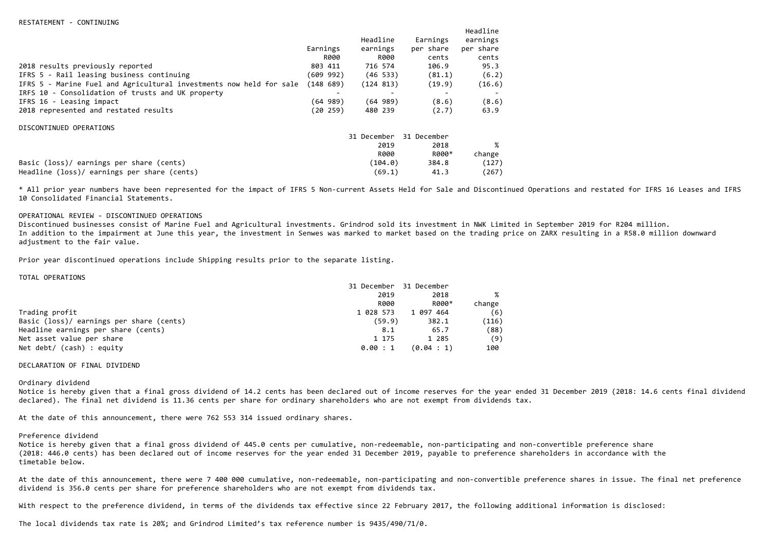|                                                                     |           |             |             | Headline  |
|---------------------------------------------------------------------|-----------|-------------|-------------|-----------|
|                                                                     |           | Headline    | Earnings    | earnings  |
|                                                                     | Earnings  | earnings    | per share   | per share |
|                                                                     | R000      | R000        | cents       | cents     |
| 2018 results previously reported                                    | 803 411   | 716 574     | 106.9       | 95.3      |
| IFRS 5 - Rail leasing business continuing                           | (609 992) | (46, 533)   | (81.1)      | (6.2)     |
| IFRS 5 - Marine Fuel and Agricultural investments now held for sale | (14868)   | (124 813)   | (19.9)      | (16.6)    |
| IRFS 10 - Consolidation of trusts and UK property                   |           |             |             |           |
| IFRS 16 - Leasing impact                                            | (64 989)  | (64 989)    | (8.6)       | (8.6)     |
| 2018 represented and restated results                               | (20259)   | 480 239     | (2.7)       | 63.9      |
| DISCONTINUED OPERATIONS                                             |           |             |             |           |
|                                                                     |           | 31 December | 31 December |           |
|                                                                     |           | 2019        | 2018        |           |
|                                                                     |           | <b>R000</b> | R000*       | change    |
| Basic (loss)/ earnings per share (cents)                            |           | (104.0)     | 384.8       | (127)     |
| Headline (loss)/ earnings per share (cents)                         |           | (69.1)      | 41.3        | (267)     |

\* All prior year numbers have been represented for the impact of IFRS 5 Non-current Assets Held for Sale and Discontinued Operations and restated for IFRS 16 Leases and IFRS 10 Consolidated Financial Statements.

## OPERATIONAL REVIEW - DISCONTINUED OPERATIONS

 Discontinued businesses consist of Marine Fuel and Agricultural investments. Grindrod sold its investment in NWK Limited in September 2019 for R204 million. In addition to the impairment at June this year, the investment in Senwes was marked to market based on the trading price on ZARX resulting in a R58.0 million downward adjustment to the fair value.

Prior year discontinued operations include Shipping results prior to the separate listing.

#### TOTAL OPERATIONS

|                                          | 31 December | 31 December |        |
|------------------------------------------|-------------|-------------|--------|
|                                          | 2019        | 2018        | %      |
|                                          | R000        | R000*       | change |
| Trading profit                           | 1 028 573   | 1 097 464   | (6)    |
| Basic (loss)/ earnings per share (cents) | (59.9)      | 382.1       | (116)  |
| Headline earnings per share (cents)      | 8.1         | 65.7        | (88)   |
| Net asset value per share                | 1 175       | 1 285       | (9)    |
| Net $debt/$ (cash) : equity              | 0.00 : 1    | (0.04 : 1)  | 100    |

### DECLARATION OF FINAL DIVIDEND

#### Ordinary dividend

 Notice is hereby given that a final gross dividend of 14.2 cents has been declared out of income reserves for the year ended 31 December 2019 (2018: 14.6 cents final dividend declared). The final net dividend is 11.36 cents per share for ordinary shareholders who are not exempt from dividends tax.

At the date of this announcement, there were 762 553 314 issued ordinary shares.

### Preference dividend

 Notice is hereby given that a final gross dividend of 445.0 cents per cumulative, non-redeemable, non-participating and non-convertible preference share (2018: 446.0 cents) has been declared out of income reserves for the year ended 31 December 2019, payable to preference shareholders in accordance with the timetable below.

At the date of this announcement, there were 7 400 000 cumulative, non-redeemable, non-participating and non-convertible preference shares in issue. The final net preference dividend is 356.0 cents per share for preference shareholders who are not exempt from dividends tax.

With respect to the preference dividend, in terms of the dividends tax effective since 22 February 2017, the following additional information is disclosed:

The local dividends tax rate is 20%; and Grindrod Limited's tax reference number is 9435/490/71/0.